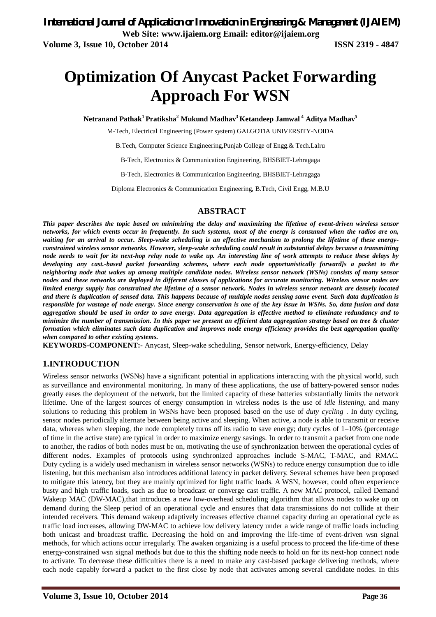# **Optimization Of Anycast Packet Forwarding Approach For WSN**

**Netranand Pathak<sup>1</sup>Pratiksha<sup>2</sup> Mukund Madhav<sup>3</sup>Ketandeep Jamwal <sup>4</sup> Aditya Madhav<sup>5</sup>**

M-Tech, Electrical Engineering (Power system) GALGOTIA UNIVERSITY-NOIDA

B.Tech, Computer Science Engineering,Punjab College of Engg.& Tech.Lalru

B-Tech, Electronics & Communication Engineering, BHSBIET-Lehragaga

B-Tech, Electronics & Communication Engineering, BHSBIET-Lehragaga

Diploma Electronics & Communication Engineering, B.Tech, Civil Engg, M.B.U

#### **ABSTRACT**

*This paper describes the topic based on minimizing the delay and maximizing the lifetime of event-driven wireless sensor networks, for which events occur in frequently. In such systems, most of the energy is consumed when the radios are on, waiting for an arrival to occur. Sleep-wake scheduling is an effective mechanism to prolong the lifetime of these energyconstrained wireless sensor networks. However, sleep-wake scheduling could result in substantial delays because a transmitting node needs to wait for its next-hop relay node to wake up. An interesting line of work attempts to reduce these delays by developing any cast.-based packet forwarding schemes, where each node opportunistically forward]s a packet to the neighboring node that wakes up among multiple candidate nodes. Wireless sensor network (WSNs) consists of many sensor nodes and these networks are deployed in different classes of applications for accurate monitoring. Wireless sensor nodes are limited energy supply has constrained the lifetime of a sensor network. Nodes in wireless sensor network are densely located and there is duplication of sensed data. This happens because of multiple nodes sensing same event. Such data duplication is responsible for wastage of node energy. Since energy conservation is one of the key issue in WSNs. So, data fusion and data aggregation should be used in order to save energy. Data aggregation is effective method to eliminate redundancy and to minimize the number of transmission. In this paper we present an efficient data aggregation strategy based on tree & cluster formation which eliminates such data duplication and improves node energy efficiency provides the best aggregation quality when compared to other existing systems.*

**KEYWORDS-COMPONENT:-** Anycast, Sleep-wake scheduling, Sensor network, Energy-efficiency, Delay

#### **1.INTRODUCTION**

Wireless sensor networks (WSNs) have a significant potential in applications interacting with the physical world, such as surveillance and environmental monitoring. In many of these applications, the use of battery-powered sensor nodes greatly eases the deployment of the network, but the limited capacity of these batteries substantially limits the network lifetime. One of the largest sources of energy consumption in wireless nodes is the use of *idle listening*, and many solutions to reducing this problem in WSNs have been proposed based on the use of *duty cycling* . In duty cycling, sensor nodes periodically alternate between being active and sleeping. When active, a node is able to transmit or receive data, whereas when sleeping, the node completely turns off its radio to save energy; duty cycles of 1–10% (percentage of time in the active state) are typical in order to maximize energy savings. In order to transmit a packet from one node to another, the radios of both nodes must be on, motivating the use of synchronization between the operational cycles of different nodes. Examples of protocols using synchronized approaches include S-MAC, T-MAC, and RMAC. Duty cycling is a widely used mechanism in wireless sensor networks (WSNs) to reduce energy consumption due to idle listening, but this mechanism also introduces additional latency in packet delivery. Several schemes have been proposed to mitigate this latency, but they are mainly optimized for light traffic loads. A WSN, however, could often experience busty and high traffic loads, such as due to broadcast or converge cast traffic. A new MAC protocol, called Demand Wakeup MAC (DW-MAC), that introduces a new low-overhead scheduling algorithm that allows nodes to wake up on demand during the Sleep period of an operational cycle and ensures that data transmissions do not collide at their intended receivers. This demand wakeup adaptively increases effective channel capacity during an operational cycle as traffic load increases, allowing DW-MAC to achieve low delivery latency under a wide range of traffic loads including both unicast and broadcast traffic. Decreasing the hold on and improving the life-time of event-driven wsn signal methods, for which actions occur irregularly. The awaken organizing is a useful process to proceed the life-time of these energy-constrained wsn signal methods but due to this the shifting node needs to hold on for its next-hop connect node to activate. To decrease these difficulties there is a need to make any cast-based package delivering methods, where each node capably forward a packet to the first close by node that activates among several candidate nodes. In this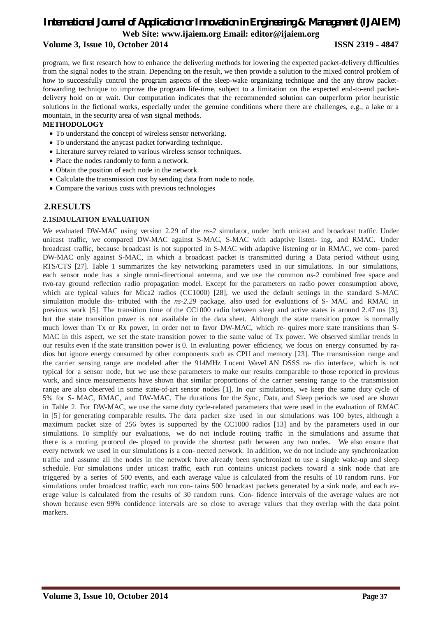program, we first research how to enhance the delivering methods for lowering the expected packet-delivery difficulties from the signal nodes to the strain. Depending on the result, we then provide a solution to the mixed control problem of how to successfully control the program aspects of the sleep-wake organizing technique and the any throw packetforwarding technique to improve the program life-time, subject to a limitation on the expected end-to-end packetdelivery hold on or wait. Our computation indicates that the recommended solution can outperform prior heuristic solutions in the fictional works, especially under the genuine conditions where there are challenges, e.g., a lake or a mountain, in the security area of wsn signal methods.

#### **METHODOLOGY**

- To understand the concept of wireless sensor networking.
- To understand the anycast packet forwarding technique.
- Literature survey related to various wireless sensor techniques.
- Place the nodes randomly to form a network.
- Obtain the position of each node in the network.
- Calculate the transmission cost by sending data from node to node.
- Compare the various costs with previous technologies

#### **2.RESULTS**

#### **2.1SIMULATION EVALUATION**

We evaluated DW-MAC using version 2.29 of the *ns-2* simulator, under both unicast and broadcast traffic. Under unicast traffic, we compared DW-MAC against S-MAC, S-MAC with adaptive listen- ing, and RMAC. Under broadcast traffic, because broadcast is not supported in S-MAC with adaptive listening or in RMAC, we com- pared DW-MAC only against S-MAC, in which a broadcast packet is transmitted during a Data period without using RTS/CTS [27]. Table 1 summarizes the key networking parameters used in our simulations. In our simulations, each sensor node has a single omni-directional antenna, and we use the common *ns-2* combined free space and two-ray ground reflection radio propagation model. Except for the parameters on radio power consumption above, which are typical values for Mica2 radios (CC1000) [28], we used the default settings in the standard S-MAC simulation module dis- tributed with the *ns-2.29* package, also used for evaluations of S- MAC and RMAC in previous work [5]. The transition time of the CC1000 radio between sleep and active states is around 2.47 ms [3], but the state transition power is not available in the data sheet. Although the state transition power is normally much lower than Tx or Rx power, in order not to favor DW-MAC, which re- quires more state transitions than S-MAC in this aspect, we set the state transition power to the same value of Tx power. We observed similar trends in our results even if the state transition power is 0. In evaluating power efficiency, we focus on energy consumed by radios but ignore energy consumed by other components such as CPU and memory [23]. The transmission range and the carrier sensing range are modeled after the 914MHz Lucent WaveLAN DSSS ra- dio interface, which is not typical for a sensor node, but we use these parameters to make our results comparable to those reported in previous work, and since measurements have shown that similar proportions of the carrier sensing range to the transmission range are also observed in some state-of-art sensor nodes [1]. In our simulations, we keep the same duty cycle of 5% for S- MAC, RMAC, and DW-MAC. The durations for the Sync, Data, and Sleep periods we used are shown in Table 2. For DW-MAC, we use the same duty cycle-related parameters that were used in the evaluation of RMAC in [5] for generating comparable results. The data packet size used in our simulations was 100 bytes, although a maximum packet size of 256 bytes is supported by the CC1000 radios [13] and by the parameters used in our simulations. To simplify our evaluations, we do not include routing traffic in the simulations and assume that there is a routing protocol de- ployed to provide the shortest path between any two nodes. We also ensure that every network we used in our simulations is a con- nected network. In addition, we do not include any synchronization traffic and assume all the nodes in the network have already been synchronized to use a single wake-up and sleep schedule. For simulations under unicast traffic, each run contains unicast packets toward a sink node that are triggered by a series of 500 events, and each average value is calculated from the results of 10 random runs. For simulations under broadcast traffic, each run con- tains 500 broadcast packets generated by a sink node, and each average value is calculated from the results of 30 random runs. Con- fidence intervals of the average values are not shown because even 99% confidence intervals are so close to average values that they overlap with the data point markers.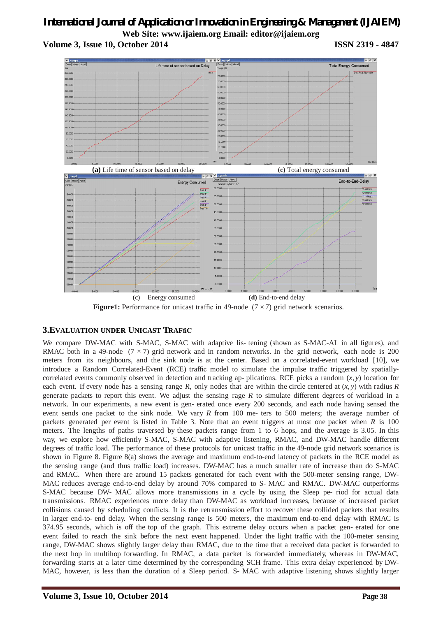

**Figure1:** Performance for unicast traffic in 49-node (7  $\times$  7) grid network scenarios.

#### **3.EVALUATION UNDER UNICAST TRAFfiC**

We compare DW-MAC with S-MAC, S-MAC with adaptive lis- tening (shown as S-MAC-AL in all figures), and RMAC both in a 49-node (7  $\times$  7) grid network and in random networks. In the grid network, each node is 200 meters from its neighbours, and the sink node is at the center. Based on a correlated-event workload [10], we introduce a Random Correlated-Event (RCE) traffic model to simulate the impulse traffic triggered by spatiallycorrelated events commonly observed in detection and tracking ap- plications. RCE picks a random (*x, y*) location for each event. If every node has a sensing range  $R$ , only nodes that are within the circle centered at  $(x, y)$  with radius  $R$ generate packets to report this event. We adjust the sensing rage *R* to simulate different degrees of workload in a network. In our experiments, a new event is gen- erated once every 200 seconds, and each node having sensed the event sends one packet to the sink node. We vary *R* from 100 me- ters to 500 meters; the average number of packets generated per event is listed in Table 3. Note that an event triggers at most one packet when *R* is 100 meters. The lengths of paths traversed by these packets range from 1 to 6 hops, and the average is 3.05. In this way, we explore how efficiently S-MAC, S-MAC with adaptive listening, RMAC, and DW-MAC handle different degrees of traffic load. The performance of these protocols for unicast traffic in the 49-node grid network scenarios is shown in Figure 8. Figure 8(a) shows the average and maximum end-to-end latency of packets in the RCE model as the sensing range (and thus traffic load) increases. DW-MAC has a much smaller rate of increase than do S-MAC and RMAC. When there are around 15 packets generated for each event with the 500-meter sensing range, DW-MAC reduces average end-to-end delay by around 70% compared to S- MAC and RMAC. DW-MAC outperforms S-MAC because DW- MAC allows more transmissions in a cycle by using the Sleep pe- riod for actual data transmissions. RMAC experiences more delay than DW-MAC as workload increases, because of increased packet collisions caused by scheduling conflicts. It is the retransmission effort to recover these collided packets that results in larger end-to- end delay. When the sensing range is 500 meters, the maximum end-to-end delay with RMAC is 374.95 seconds, which is off the top of the graph. This extreme delay occurs when a packet gen- erated for one event failed to reach the sink before the next event happened. Under the light traffic with the 100-meter sensing range, DW-MAC shows slightly larger delay than RMAC, due to the time that a received data packet is forwarded to the next hop in multihop forwarding. In RMAC, a data packet is forwarded immediately, whereas in DW-MAC, forwarding starts at a later time determined by the corresponding SCH frame. This extra delay experienced by DW-MAC, however, is less than the duration of a Sleep period. S- MAC with adaptive listening shows slightly larger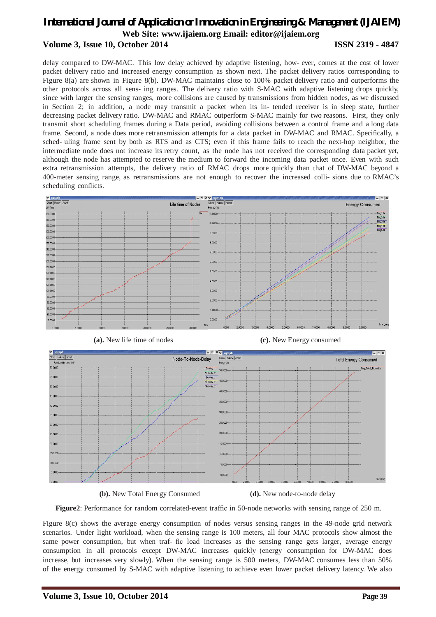delay compared to DW-MAC. This low delay achieved by adaptive listening, how- ever, comes at the cost of lower packet delivery ratio and increased energy consumption as shown next. The packet delivery ratios corresponding to Figure 8(a) are shown in Figure 8(b). DW-MAC maintains close to 100% packet delivery ratio and outperforms the other protocols across all sens- ing ranges. The delivery ratio with S-MAC with adaptive listening drops quickly, since with larger the sensing ranges, more collisions are caused by transmissions from hidden nodes, as we discussed in Section 2; in addition, a node may transmit a packet when its in- tended receiver is in sleep state, further decreasing packet delivery ratio. DW-MAC and RMAC outperform S-MAC mainly for two reasons. First, they only transmit short scheduling frames during a Data period, avoiding collisions between a control frame and a long data frame. Second, a node does more retransmission attempts for a data packet in DW-MAC and RMAC. Specifically, a sched- uling frame sent by both as RTS and as CTS; even if this frame fails to reach the next-hop neighbor, the intermediate node does not increase its retry count, as the node has not received the corresponding data packet yet, although the node has attempted to reserve the medium to forward the incoming data packet once. Even with such extra retransmission attempts, the delivery ratio of RMAC drops more quickly than that of DW-MAC beyond a 400-meter sensing range, as retransmissions are not enough to recover the increased colli- sions due to RMAC's scheduling conflicts.







**(b).** New Total Energy Consumed **(d).** New node-to-node delay

**Figure2**: Performance for random correlated-event traffic in 50-node networks with sensing range of 250 m.

Figure 8(c) shows the average energy consumption of nodes versus sensing ranges in the 49-node grid network scenarios. Under light workload, when the sensing range is 100 meters, all four MAC protocols show almost the same power consumption, but when traf- fic load increases as the sensing range gets larger, average energy consumption in all protocols except DW-MAC increases quickly (energy consumption for DW-MAC does increase, but increases very slowly). When the sensing range is 500 meters, DW-MAC consumes less than 50% of the energy consumed by S-MAC with adaptive listening to achieve even lower packet delivery latency. We also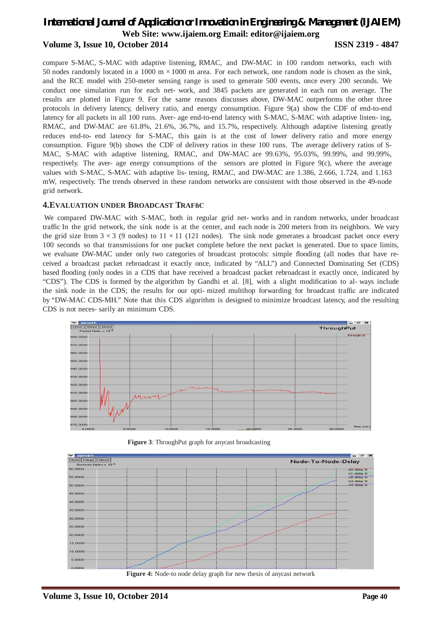compare S-MAC, S-MAC with adaptive listening, RMAC, and DW-MAC in 100 random networks, each with 50 nodes randomly located in a 1000 m *×*1000 m area. For each network, one random node is chosen as the sink, and the RCE model with 250-meter sensing range is used to generate 500 events, once every 200 seconds. We conduct one simulation run for each net- work, and 3845 packets are generated in each run on average. The results are plotted in Figure 9. For the same reasons discusses above, DW-MAC outperforms the other three protocols in delivery latency, delivery ratio, and energy consumption. Figure 9(a) show the CDF of end-to-end latency for all packets in all 100 runs. Aver- age end-to-end latency with S-MAC, S-MAC with adaptive listen- ing, RMAC, and DW-MAC are 61.8%, 21.6%, 36.7%, and 15.7%, respectively. Although adaptive listening greatly reduces end-to- end latency for S-MAC, this gain is at the cost of lower delivery ratio and more energy consumption. Figure 9(b) shows the CDF of delivery ratios in these 100 runs. The average delivery ratios of S-MAC, S-MAC with adaptive listening, RMAC, and DW-MAC are 99.63%, 95.03%, 99.99%, and 99.99%, respectively. The aver- age energy consumptions of the sensors are plotted in Figure 9(c), where the average values with S-MAC, S-MAC with adaptive lis- tening, RMAC, and DW-MAC are 1.386, 2.666, 1.724, and 1.163 mW, respectively. The trends observed in these random networks are consistent with those observed in the 49-node grid network.

#### **4.EVALUATION UNDER BROADCAST TRAFfiC**

We compared DW-MAC with S-MAC, both in regular grid net- works and in random networks, under broadcast traffic In the grid network, the sink node is at the center, and each node is 200 meters from its neighbors. We vary the grid size from  $3 \times 3$  (9 nodes) to  $11 \times 11$  (121 nodes). The sink node generates a broadcast packet once every 100 seconds so that transmissions for one packet complete before the next packet is generated. Due to space limits, we evaluate DW-MAC under only two categories of broadcast protocols: simple flooding (all nodes that have received a broadcast packet rebroadcast it exactly once, indicated by "ALL") and Connected Dominating Set (CDS) based flooding (only nodes in a CDS that have received a broadcast packet rebroadcast it exactly once, indicated by "CDS"). The CDS is formed by the algorithm by Gandhi et al. [8], with a slight modification to al- ways include the sink node in the CDS; the results for our opti- mized multihop forwarding for broadcast traffic are indicated by "DW-MAC CDS-MH." Note that this CDS algorithm is designed to minimize broadcast latency, and the resulting CDS is not neces- sarily an minimum CDS.



**Figure 3**: ThroughPut graph for any cast broadcasting



**Figure 4:** Node-to node delay graph for new thesis of anycast network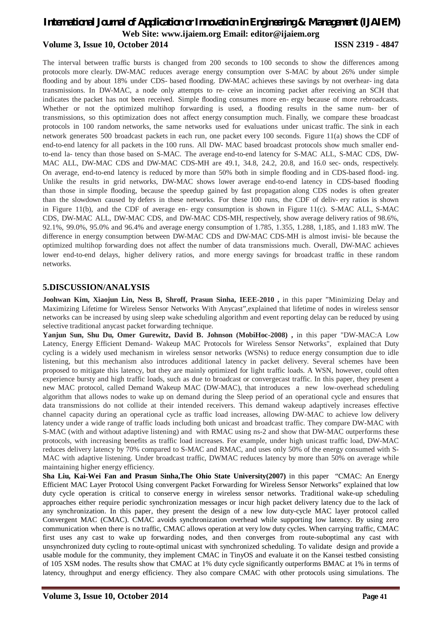The interval between traffic bursts is changed from 200 seconds to 100 seconds to show the differences among protocols more clearly. DW-MAC reduces average energy consumption over S-MAC by about 26% under simple flooding and by about 18% under CDS- based flooding. DW-MAC achieves these savings by not overhear- ing data transmissions. In DW-MAC, a node only attempts to re- ceive an incoming packet after receiving an SCH that indicates the packet has not been received. Simple flooding consumes more en- ergy because of more rebroadcasts. Whether or not the optimized multihop forwarding is used, a flooding results in the same num- ber of transmissions, so this optimization does not affect energy consumption much. Finally, we compare these broadcast protocols in 100 random networks, the same networks used for evaluations under unicast traffic. The sink in each network generates 500 broadcast packets in each run, one packet every 100 seconds. Figure 11(a) shows the CDF of end-to-end latency for all packets in the 100 runs. All DW- MAC based broadcast protocols show much smaller endto-end la- tency than those based on S-MAC. The average end-to-end latency for S-MAC ALL, S-MAC CDS, DW-MAC ALL, DW-MAC CDS and DW-MAC CDS-MH are 49.1, 34.8, 24.2, 20.8, and 16.0 sec- onds, respectively. On average, end-to-end latency is reduced by more than 50% both in simple flooding and in CDS-based flood- ing. Unlike the results in grid networks, DW-MAC shows lower average end-to-end latency in CDS-based flooding than those in simple flooding, because the speedup gained by fast propagation along CDS nodes is often greater than the slowdown caused by defers in these networks. For these 100 runs, the CDF of deliv- ery ratios is shown in Figure 11(b), and the CDF of average en- ergy consumption is shown in Figure 11(c). S-MAC ALL, S-MAC CDS, DW-MAC ALL, DW-MAC CDS, and DW-MAC CDS-MH, respectively, show average delivery ratios of 98.6%, 92.1%, 99.0%, 95.0% and 96.4% and average energy consumption of 1.785, 1.355, 1.288, 1,185, and 1.183 mW. The difference in energy consumption between DW-MAC CDS and DW-MAC CDS-MH is almost invisi- ble because the optimized multihop forwarding does not affect the number of data transmissions much. Overall, DW-MAC achieves lower end-to-end delays, higher delivery ratios, and more energy savings for broadcast traffic in these random networks.

#### **5.DISCUSSION/ANALYSIS**

**Joohwan Kim, Xiaojun Lin, Ness B, Shroff, Prasun Sinha, IEEE-2010 ,** in this paper "Minimizing Delay and Maximizing Lifetime for Wireless Sensor Networks With Anycast",explained that lifetime of nodes in wireless sensor networks can be increased by using sleep wake scheduling algorithm and event reporting delay can be reduced by using selective traditional anycast packet forwarding technique.

**Yanjun Sun, Shu Du, Omer Gurewitz, David B. Johnson (MobiHoc-2008) ,** in this paper "DW-MAC:A Low Latency, Energy Efficient Demand- Wakeup MAC Protocols for Wireless Sensor Networks", explained that Duty cycling is a widely used mechanism in wireless sensor networks (WSNs) to reduce energy consumption due to idle listening, but this mechanism also introduces additional latency in packet delivery. Several schemes have been proposed to mitigate this latency, but they are mainly optimized for light traffic loads. A WSN, however, could often experience bursty and high traffic loads, such as due to broadcast or convergecast traffic. In this paper, they present a new MAC protocol, called Demand Wakeup MAC (DW-MAC), that introduces a new low-overhead scheduling algorithm that allows nodes to wake up on demand during the Sleep period of an operational cycle and ensures that data transmissions do not collide at their intended receivers. This demand wakeup adaptively increases effective channel capacity during an operational cycle as traffic load increases, allowing DW-MAC to achieve low delivery latency under a wide range of traffic loads including both unicast and broadcast traffic. They compare DW-MAC with S-MAC (with and without adaptive listening) and with RMAC using ns-2 and show that DW-MAC outperforms these protocols, with increasing benefits as traffic load increases. For example, under high unicast traffic load, DW-MAC reduces delivery latency by 70% compared to S-MAC and RMAC, and uses only 50% of the energy consumed with S-MAC with adaptive listening. Under broadcast traffic, DWMAC reduces latency by more than 50% on average while maintaining higher energy efficiency.

**Sha Liu, Kai-Wei Fan and Prasun Sinha,The Ohio State University(2007)** in this paper "CMAC: An Energy Efficient MAC Layer Protocol Using convergent Packet Forwarding for Wireless Sensor Networks" explained that low duty cycle operation is critical to conserve energy in wireless sensor networks. Traditional wake-up scheduling approaches either require periodic synchronization messages or incur high packet delivery latency due to the lack of any synchronization. In this paper, they present the design of a new low duty-cycle MAC layer protocol called Convergent MAC (CMAC). CMAC avoids synchronization overhead while supporting low latency. By using zero communication when there is no traffic, CMAC allows operation at very low duty cycles. When carrying traffic, CMAC first uses any cast to wake up forwarding nodes, and then converges from route-suboptimal any cast with unsynchronized duty cycling to route-optimal unicast with synchronized scheduling. To validate design and provide a usable module for the community, they implement CMAC in TinyOS and evaluate it on the Kansei testbed consisting of 105 XSM nodes. The results show that CMAC at 1% duty cycle significantly outperforms BMAC at 1% in terms of latency, throughput and energy efficiency. They also compare CMAC with other protocols using simulations. The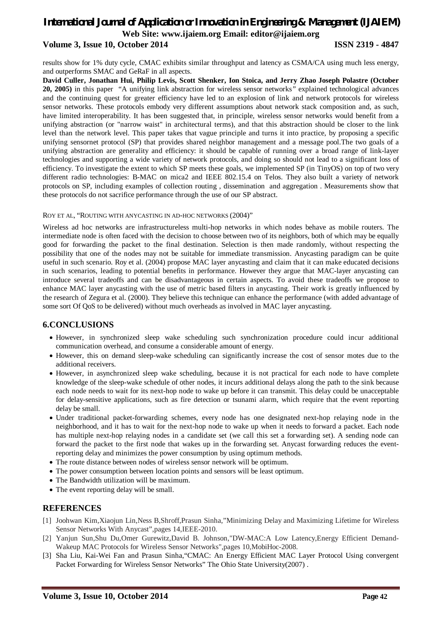## results show for 1% duty cycle, CMAC exhibits similar throughput and latency as CSMA/CA using much less energy,

and outperforms SMAC and GeRaF in all aspects. **David Culler, Jonathan Hui, Philip Levis, Scott Shenker, Ion Stoica, and Jerry Zhao Joseph Polastre (October 20, 2005)** in this paper "A unifying link abstraction for wireless sensor networks*"* explained technological advances and the continuing quest for greater efficiency have led to an explosion of link and network protocols for wireless sensor networks. These protocols embody very different assumptions about network stack composition and, as such, have limited interoperability. It has been suggested that, in principle, wireless sensor networks would benefit from a unifying abstraction (or "narrow waist" in architectural terms), and that this abstraction should be closer to the link level than the network level. This paper takes that vague principle and turns it into practice, by proposing a specific unifying sensornet protocol (SP) that provides shared neighbor management and a message pool.The two goals of a unifying abstraction are generality and efficiency: it should be capable of running over a broad range of link-layer technologies and supporting a wide variety of network protocols, and doing so should not lead to a significant loss of efficiency. To investigate the extent to which SP meets these goals, we implemented SP (in TinyOS) on top of two very different radio technologies: B-MAC on mica2 and IEEE 802.15.4 on Telos. They also built a variety of network protocols on SP, including examples of collection routing , dissemination and aggregation . Measurements show that these protocols do not sacrifice performance through the use of our SP abstract.

#### ROY ET AL, "ROUTING WITH ANYCASTING IN AD-HOC NETWORKS (2004)"

Wireless ad hoc networks are infrastructureless multi-hop networks in which nodes behave as mobile routers. The intermediate node is often faced with the decision to choose between two of its neighbors, both of which may be equally good for forwarding the packet to the final destination. Selection is then made randomly, without respecting the possibility that one of the nodes may not be suitable for immediate transmission. Anycasting paradigm can be quite useful in such scenario. Roy et al. (2004) propose MAC layer anycasting and claim that it can make educated decisions in such scenarios, leading to potential benefits in performance. However they argue that MAC-layer anycasting can introduce several tradeoffs and can be disadvantageous in certain aspects. To avoid these tradeoffs we propose to enhance MAC layer anycasting with the use of metric based filters in anycasting. Their work is greatly influenced by the research of Zegura et al. (2000). They believe this technique can enhance the performance (with added advantage of some sort Of QoS to be delivered) without much overheads as involved in MAC layer anycasting.

#### **6.CONCLUSIONS**

- However, in synchronized sleep wake scheduling such synchronization procedure could incur additional communication overhead, and consume a considerable amount of energy.
- However, this on demand sleep-wake scheduling can significantly increase the cost of sensor motes due to the additional receivers.
- However, in asynchronized sleep wake scheduling, because it is not practical for each node to have complete knowledge of the sleep-wake schedule of other nodes, it incurs additional delays along the path to the sink because each node needs to wait for its next-hop node to wake up before it can transmit. This delay could be unacceptable for delay-sensitive applications, such as fire detection or tsunami alarm, which require that the event reporting delay be small.
- Under traditional packet-forwarding schemes, every node has one designated next-hop relaying node in the neighborhood, and it has to wait for the next-hop node to wake up when it needs to forward a packet. Each node has multiple next-hop relaying nodes in a candidate set (we call this set a forwarding set). A sending node can forward the packet to the first node that wakes up in the forwarding set. Anycast forwarding reduces the eventreporting delay and minimizes the power consumption by using optimum methods.
- The route distance between nodes of wireless sensor network will be optimum.
- The power consumption between location points and sensors will be least optimum.
- The Bandwidth utilization will be maximum.
- The event reporting delay will be small.

#### **REFERENCES**

- [1] Joohwan Kim,Xiaojun Lin,Ness B,Shroff,Prasun Sinha,"Minimizing Delay and Maximizing Lifetime for Wireless Sensor Networks With Anycast",pages 14,IEEE-2010.
- [2] Yanjun Sun,Shu Du,Omer Gurewitz,David B. Johnson,"DW-MAC:A Low Latency,Energy Efficient Demand-Wakeup MAC Protocols for Wireless Sensor Networks",pages 10,MobiHoc-2008.
- [3] Sha Liu, Kai-Wei Fan and Prasun Sinha,"CMAC: An Energy Efficient MAC Layer Protocol Using convergent Packet Forwarding for Wireless Sensor Networks" The Ohio State University(2007) .